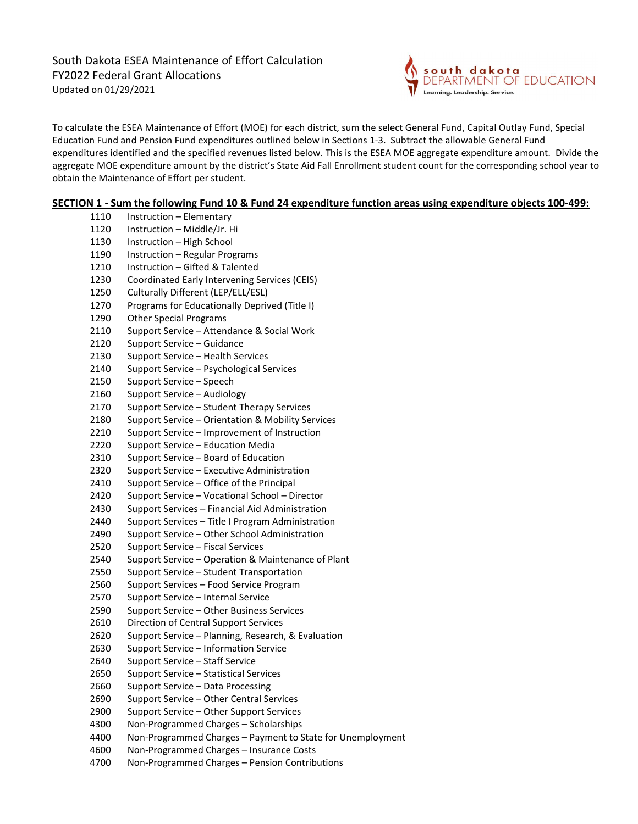South Dakota ESEA Maintenance of Effort Calculation FY2022 Federal Grant Allocations Updated on 01/29/2021



To calculate the ESEA Maintenance of Effort (MOE) for each district, sum the select General Fund, Capital Outlay Fund, Special Education Fund and Pension Fund expenditures outlined below in Sections 1-3. Subtract the allowable General Fund expenditures identified and the specified revenues listed below. This is the ESEA MOE aggregate expenditure amount. Divide the aggregate MOE expenditure amount by the district's State Aid Fall Enrollment student count for the corresponding school year to obtain the Maintenance of Effort per student.

### SECTION 1 - Sum the following Fund 10 & Fund 24 expenditure function areas using expenditure objects 100-499:

| 1110 | Instruction - Elementary                                   |
|------|------------------------------------------------------------|
| 1120 | Instruction - Middle/Jr. Hi                                |
| 1130 | Instruction - High School                                  |
| 1190 | Instruction - Regular Programs                             |
| 1210 | Instruction - Gifted & Talented                            |
| 1230 | Coordinated Early Intervening Services (CEIS)              |
| 1250 | Culturally Different (LEP/ELL/ESL)                         |
| 1270 | Programs for Educationally Deprived (Title I)              |
| 1290 | <b>Other Special Programs</b>                              |
| 2110 | Support Service - Attendance & Social Work                 |
| 2120 | Support Service - Guidance                                 |
| 2130 | Support Service - Health Services                          |
| 2140 | Support Service - Psychological Services                   |
| 2150 | Support Service - Speech                                   |
| 2160 | Support Service - Audiology                                |
| 2170 | Support Service - Student Therapy Services                 |
| 2180 | Support Service - Orientation & Mobility Services          |
| 2210 | Support Service – Improvement of Instruction               |
| 2220 | Support Service - Education Media                          |
| 2310 | Support Service - Board of Education                       |
| 2320 | Support Service - Executive Administration                 |
| 2410 | Support Service - Office of the Principal                  |
| 2420 | Support Service - Vocational School - Director             |
| 2430 | Support Services - Financial Aid Administration            |
| 2440 | Support Services - Title I Program Administration          |
| 2490 | Support Service - Other School Administration              |
| 2520 | Support Service - Fiscal Services                          |
| 2540 | Support Service - Operation & Maintenance of Plant         |
| 2550 | Support Service - Student Transportation                   |
| 2560 | Support Services - Food Service Program                    |
| 2570 | Support Service - Internal Service                         |
| 2590 | Support Service - Other Business Services                  |
| 2610 | Direction of Central Support Services                      |
| 2620 | Support Service - Planning, Research, & Evaluation         |
| 2630 | Support Service - Information Service                      |
| 2640 | Support Service – Staff Service                            |
| 2650 | Support Service - Statistical Services                     |
| 2660 | Support Service - Data Processing                          |
| 2690 | Support Service - Other Central Services                   |
| 2900 | Support Service - Other Support Services                   |
| 4300 | Non-Programmed Charges - Scholarships                      |
| 4400 | Non-Programmed Charges - Payment to State for Unemployment |
| 4600 | Non-Programmed Charges - Insurance Costs                   |
| 4700 | Non-Programmed Charges - Pension Contributions             |